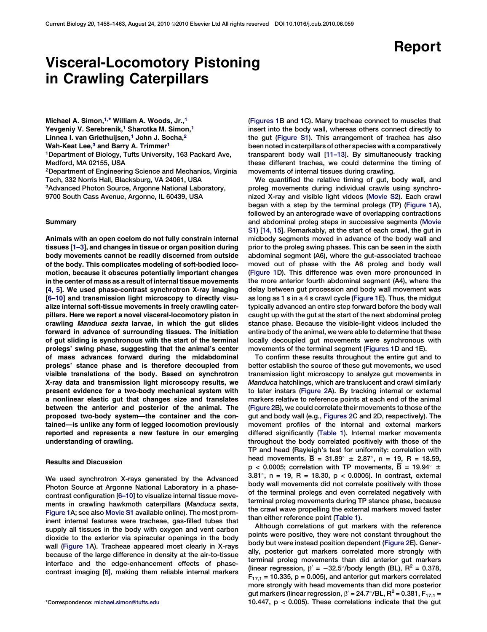# Visceral-Locomotory Pistoning in Crawling Caterpillars

Michael A. Simon,<sup>[1](#page-0-0),[\\*](#page-0-0)</sup> William A. Woods, Jr.,<sup>1</sup> Yevgeniy V. Serebrenik,<sup>[1](#page-0-0)</sup> Sharotka M. Simon,<sup>1</sup> Linnea I. van Griethuijsen,<sup>[1](#page-0-0)</sup> John J. Socha,<sup>[2](#page-0-0)</sup> Wah-Keat Lee,<sup>[3](#page-0-0)</sup> and Barry A. Trimmer<sup>[1](#page-0-0)</sup> 1Department of Biology, Tufts University, 163 Packard Ave, Medford, MA 02155, USA

2Department of Engineering Science and Mechanics, Virginia Tech, 332 Norris Hall, Blacksburg, VA 24061, USA 3Advanced Photon Source, Argonne National Laboratory, 9700 South Cass Avenue, Argonne, IL 60439, USA

#### Summary

Animals with an open coelom do not fully constrain internal tissues [\[1–3](#page-4-0)], and changes in tissue or organ position during body movements cannot be readily discerned from outside of the body. This complicates modeling of soft-bodied locomotion, because it obscures potentially important changes in the center of mass as a result of internal tissue movements [\[4, 5](#page-4-0)]. We used phase-contrast synchrotron X-ray imaging [\[6–10\]](#page-4-0) and transmission light microscopy to directly visualize internal soft-tissue movements in freely crawling caterpillars. Here we report a novel visceral-locomotory piston in crawling Manduca sexta larvae, in which the gut slides forward in advance of surrounding tissues. The initiation of gut sliding is synchronous with the start of the terminal prolegs' swing phase, suggesting that the animal's center of mass advances forward during the midabdominal prolegs' stance phase and is therefore decoupled from visible translations of the body. Based on synchrotron X-ray data and transmission light microscopy results, we present evidence for a two-body mechanical system with a nonlinear elastic gut that changes size and translates between the anterior and posterior of the animal. The proposed two-body system—the container and the contained—is unlike any form of legged locomotion previously reported and represents a new feature in our emerging understanding of crawling.

## Results and Discussion

We used synchrotron X-rays generated by the Advanced Photon Source at Argonne National Laboratory in a phasecontrast configuration [[6–10\]](#page-4-0) to visualize internal tissue movements in crawling hawkmoth caterpillars (Manduca sexta, [Figure 1](#page-1-0)A; see also Movie S1 available online). The most prominent internal features were tracheae, gas-filled tubes that supply all tissues in the body with oxygen and vent carbon dioxide to the exterior via spiracular openings in the body wall [\(Figure 1](#page-1-0)A). Tracheae appeared most clearly in X-rays because of the large difference in density at the air-to-tissue interface and the edge-enhancement effects of phasecontrast imaging [[6](#page-4-0)], making them reliable internal markers ([Figures 1](#page-1-0)B and 1C). Many tracheae connect to muscles that insert into the body wall, whereas others connect directly to the gut ([Figure S1\)](#page-3-0). This arrangement of trachea has also been noted in caterpillars of other species with a comparatively transparent body wall [\[11–13](#page-4-0)]. By simultaneously tracking these different trachea, we could determine the timing of movements of internal tissues during crawling.

We quantified the relative timing of gut, body wall, and proleg movements during individual crawls using synchronized X-ray and visible light videos (Movie S2). Each crawl began with a step by the terminal prolegs (TP) [\(Figure 1](#page-1-0)A), followed by an anterograde wave of overlapping contractions and abdominal proleg steps in successive segments (Movie S1) [[14, 15](#page-4-0)]. Remarkably, at the start of each crawl, the gut in midbody segments moved in advance of the body wall and prior to the proleg swing phases. This can be seen in the sixth abdominal segment (A6), where the gut-associated tracheae moved out of phase with the A6 proleg and body wall ([Figure 1](#page-1-0)D). This difference was even more pronounced in the more anterior fourth abdominal segment (A4), where the delay between gut procession and body wall movement was as long as 1 s in a 4 s crawl cycle [\(Figure 1](#page-1-0)E). Thus, the midgut typically advanced an entire step forward before the body wall caught up with the gut at the start of the next abdominal proleg stance phase. Because the visible-light videos included the entire body of the animal, we were able to determine that these locally decoupled gut movements were synchronous with movements of the terminal segment ([Figures 1D](#page-1-0) and 1E).

To confirm these results throughout the entire gut and to better establish the source of these gut movements, we used transmission light microscopy to analyze gut movements in Manduca hatchlings, which are translucent and crawl similarly to later instars ([Figure 2](#page-2-0)A). By tracking internal or external markers relative to reference points at each end of the animal ([Figure 2B](#page-2-0)), we could correlate their movements to those of the gut and body wall (e.g., [Figures 2C](#page-2-0) and 2D, respectively). The movement profiles of the internal and external markers differed significantly [\(Table 1](#page-3-0)). Internal marker movements throughout the body correlated positively with those of the TP and head (Rayleigh's test for uniformity: correlation with head movements,  $\overline{B} = 31.89^{\circ} \pm 2.87^{\circ}$ , n = 19, R = 18.59,  $p < 0.0005$ ; correlation with TP movements, B = 19.94 $\degree$  ± 3.81°, n = 19, R = 18.30, p < 0.0005). In contrast, external body wall movements did not correlate positively with those of the terminal prolegs and even correlated negatively with terminal proleg movements during TP stance phase, because the crawl wave propelling the external markers moved faster than either reference point [\(Table 1](#page-3-0)).

<span id="page-0-0"></span>Although correlations of gut markers with the reference points were positive, they were not constant throughout the body but were instead position dependent [\(Figure 2E](#page-2-0)). Generally, posterior gut markers correlated more strongly with terminal proleg movements than did anterior gut markers (linear regression,  $\beta' = -32.5^{\circ}/b$ ody length (BL), R<sup>2</sup> = 0.378,  $F_{17,1}$  = 10.335, p = 0.005), and anterior gut markers correlated more strongly with head movements than did more posterior gut markers (linear regression,  $\beta' = 24.7^{\circ}/BL$ ,  $R^2 = 0.381$ ,  $F_{17,1} =$ \*Correspondence: [michael.simon@tufts.edu](mailto:michael.simon@tufts.edu) 10.447, p < 0.005). These correlations indicate that the gut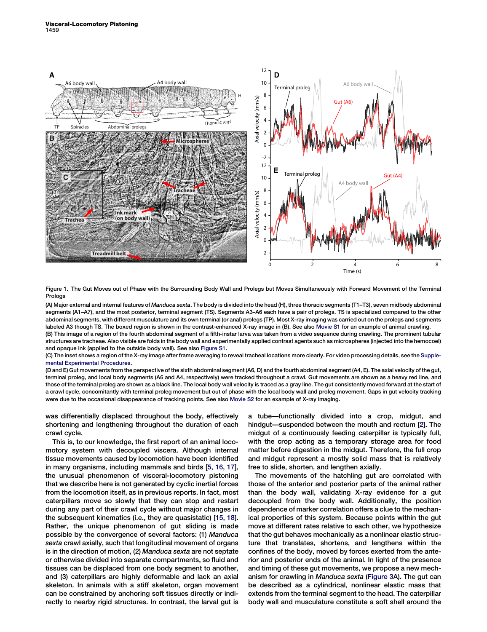

Figure 1. The Gut Moves out of Phase with the Surrounding Body Wall and Prolegs but Moves Simultaneously with Forward Movement of the Terminal Prologs

(A) Major external and internal features of Manduca sexta. The body is divided into the head (H), three thoracic segments (T1–T3), seven midbody abdominal segments (A1–A7), and the most posterior, terminal segment (TS). Segments A3–A6 each have a pair of prolegs. TS is specialized compared to the other abdominal segments, with different musculature and its own terminal (or anal) prolegs (TP). Most X-ray imaging was carried out on the prolegs and segments labeled A3 though TS. The boxed region is shown in the contrast-enhanced X-ray image in (B). See also Movie S1 for an example of animal crawling. (B) This image of a region of the fourth abdominal segment of a fifth-instar larva was taken from a video sequence during crawling. The prominent tubular

structures are tracheae. Also visible are folds in the body wall and experimentally applied contrast agents such as microspheres (injected into the hemocoel) and opaque ink (applied to the outside body wall). See also [Figure S1.](#page-3-0)

(C) The inset shows a region of the X-ray image after frame averaging to reveal tracheal locations more clearly. For video processing details, see the [Supple](#page-3-0)[mental Experimental Procedures.](#page-3-0)

(D and E) Gut movements from the perspective of the sixth abdominal segment (A6, D) and the fourth abdominal segment (A4, E). The axial velocity of the gut, terminal proleg, and local body segments (A6 and A4, respectively) were tracked throughout a crawl. Gut movements are shown as a heavy red line, and those of the terminal proleg are shown as a black line. The local body wall velocity is traced as a gray line. The gut consistently moved forward at the start of a crawl cycle, concomitantly with terminal proleg movement but out of phase with the local body wall and proleg movement. Gaps in gut velocity tracking were due to the occasional disappearance of tracking points. See also Movie S2 for an example of X-ray imaging.

was differentially displaced throughout the body, effectively shortening and lengthening throughout the duration of each crawl cycle.

<span id="page-1-0"></span>This is, to our knowledge, the first report of an animal locomotory system with decoupled viscera. Although internal tissue movements caused by locomotion have been identified in many organisms, including mammals and birds [\[5, 16, 17\]](#page-4-0), the unusual phenomenon of visceral-locomotory pistoning that we describe here is not generated by cyclic inertial forces from the locomotion itself, as in previous reports. In fact, most caterpillars move so slowly that they can stop and restart during any part of their crawl cycle without major changes in the subsequent kinematics (i.e., they are quasistatic) [\[15, 18\]](#page-4-0). Rather, the unique phenomenon of gut sliding is made possible by the convergence of several factors: (1) Manduca sexta crawl axially, such that longitudinal movement of organs is in the direction of motion, (2) Manduca sexta are not septate or otherwise divided into separate compartments, so fluid and tissues can be displaced from one body segment to another, and (3) caterpillars are highly deformable and lack an axial skeleton. In animals with a stiff skeleton, organ movement can be constrained by anchoring soft tissues directly or indirectly to nearby rigid structures. In contrast, the larval gut is a tube—functionally divided into a crop, midgut, and hindgut—suspended between the mouth and rectum [[2\]](#page-4-0). The midgut of a continuously feeding caterpillar is typically full, with the crop acting as a temporary storage area for food matter before digestion in the midgut. Therefore, the full crop and midgut represent a mostly solid mass that is relatively free to slide, shorten, and lengthen axially.

The movements of the hatchling gut are correlated with those of the anterior and posterior parts of the animal rather than the body wall, validating X-ray evidence for a gut decoupled from the body wall. Additionally, the position dependence of marker correlation offers a clue to the mechanical properties of this system. Because points within the gut move at different rates relative to each other, we hypothesize that the gut behaves mechanically as a nonlinear elastic structure that translates, shortens, and lengthens within the confines of the body, moved by forces exerted from the anterior and posterior ends of the animal. In light of the presence and timing of these gut movements, we propose a new mechanism for crawling in Manduca sexta ([Figure 3](#page-4-0)A). The gut can be described as a cylindrical, nonlinear elastic mass that extends from the terminal segment to the head. The caterpillar body wall and musculature constitute a soft shell around the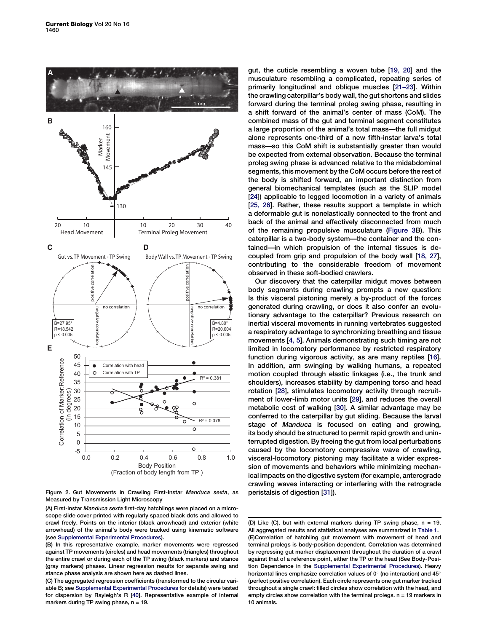

Figure 2. Gut Movements in Crawling First-Instar Manduca sexta, as Measured by Transmission Light Microscopy

(A) First-instar Manduca sexta first-day hatchlings were placed on a microscope slide cover printed with regularly spaced black dots and allowed to crawl freely. Points on the interior (black arrowhead) and exterior (white arrowhead) of the animal's body were tracked using kinematic software (see [Supplemental Experimental Procedures\)](#page-3-0).

gut, the cuticle resembling a woven tube [\[19, 20\]](#page-4-0) and the musculature resembling a complicated, repeating series of primarily longitudinal and oblique muscles [\[21–23](#page-4-0)]. Within the crawling caterpillar's body wall, the gut shortens and slides forward during the terminal proleg swing phase, resulting in a shift forward of the animal's center of mass (CoM). The combined mass of the gut and terminal segment constitutes a large proportion of the animal's total mass—the full midgut alone represents one-third of a new fifth-instar larva's total mass—so this CoM shift is substantially greater than would be expected from external observation. Because the terminal proleg swing phase is advanced relative to the midabdominal segments, this movement by the CoM occurs before the rest of the body is shifted forward, an important distinction from general biomechanical templates (such as the SLIP model [[24](#page-4-0)]) applicable to legged locomotion in a variety of animals [[25, 26\]](#page-5-0). Rather, these results support a template in which a deformable gut is nonelastically connected to the front and back of the animal and effectively disconnected from much of the remaining propulsive musculature ([Figure 3B](#page-4-0)). This caterpillar is a two-body system—the container and the contained—in which propulsion of the internal tissues is decoupled from grip and propulsion of the body wall [\[18, 27\]](#page-4-0), contributing to the considerable freedom of movement observed in these soft-bodied crawlers.

Our discovery that the caterpillar midgut moves between body segments during crawling prompts a new question: Is this visceral pistoning merely a by-product of the forces generated during crawling, or does it also confer an evolutionary advantage to the caterpillar? Previous research on inertial visceral movements in running vertebrates suggested a respiratory advantage to synchronizing breathing and tissue movements [[4, 5](#page-4-0)]. Animals demonstrating such timing are not limited in locomotory performance by restricted respiratory function during vigorous activity, as are many reptiles [\[16\]](#page-4-0). In addition, arm swinging by walking humans, a repeated motion coupled through elastic linkages (i.e., the trunk and shoulders), increases stability by dampening torso and head rotation [[28](#page-5-0)], stimulates locomotory activity through recruitment of lower-limb motor units [[29](#page-5-0)], and reduces the overall metabolic cost of walking [[30\]](#page-5-0). A similar advantage may be conferred to the caterpillar by gut sliding. Because the larval stage of Manduca is focused on eating and growing, its body should be structured to permit rapid growth and uninterrupted digestion. By freeing the gut from local perturbations caused by the locomotory compressive wave of crawling, visceral-locomotory pistoning may facilitate a wider expression of movements and behaviors while minimizing mechanical impacts on the digestive system (for example, anterograde crawling waves interacting or interfering with the retrograde peristalsis of digestion [[31\]](#page-5-0)).

<sup>(</sup>B) In this representative example, marker movements were regressed against TP movements (circles) and head movements (triangles) throughout the entire crawl or during each of the TP swing (black markers) and stance (gray markers) phases. Linear regression results for separate swing and stance phase analysis are shown here as dashed lines.

<span id="page-2-0"></span><sup>(</sup>C) The aggregated regression coefficients (transformed to the circular variable B; see [Supplemental Experimental Procedures](#page-3-0) for details) were tested for dispersion by Rayleigh's R [\[40\]](#page-5-0). Representative example of internal markers during TP swing phase,  $n = 19$ .

<sup>(</sup>D) Like (C), but with external markers during TP swing phase, n = 19. All aggregated results and statistical analyses are summarized in [Table 1.](#page-3-0) (E)Correlation of hatchling gut movement with movement of head and terminal prolegs is body-position dependent. Correlation was determined by regressing gut marker displacement throughout the duration of a crawl against that of a reference point, either the TP or the head (See Body-Position Dependence in the [Supplemental Experimental Procedures](#page-3-0)). Heavy horizontal lines emphasize correlation values of  $0^{\circ}$  (no interaction) and 45 $^{\circ}$ (perfect positive correlation). Each circle represents one gut marker tracked throughout a single crawl: filled circles show correlation with the head, and empty circles show correlation with the terminal prolegs. n = 19 markers in 10 animals.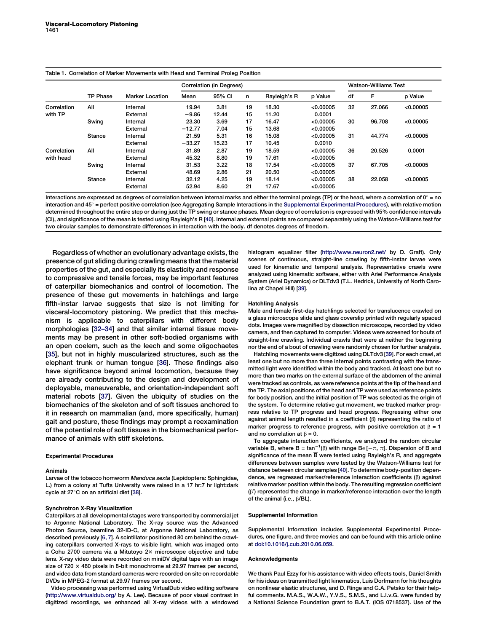### Table 1. Correlation of Marker Movements with Head and Terminal Proleg Position

|                          | <b>TP Phase</b> | <b>Marker Location</b> | Correlation (in Degrees) |        |    |              |           | <b>Watson-Williams Test</b> |        |           |
|--------------------------|-----------------|------------------------|--------------------------|--------|----|--------------|-----------|-----------------------------|--------|-----------|
|                          |                 |                        | Mean                     | 95% CI | n  | Rayleigh's R | p Value   | df                          | F      | p Value   |
| Correlation<br>with TP   | All             | Internal               | 19.94                    | 3.81   | 19 | 18.30        | < 0.00005 | 32                          | 27.066 | < 0.00005 |
|                          |                 | External               | $-9.86$                  | 12.44  | 15 | 11.20        | 0.0001    |                             |        |           |
|                          | Swing           | Internal               | 23.30                    | 3.69   | 17 | 16.47        | < 0.00005 | 30                          | 96.708 | < 0.00005 |
|                          |                 | External               | $-12.77$                 | 7.04   | 15 | 13.68        | < 0.00005 |                             |        |           |
|                          | <b>Stance</b>   | Internal               | 21.59                    | 5.31   | 16 | 15.08        | < 0.00005 | 31                          | 44.774 | < 0.00005 |
|                          |                 | External               | $-33.27$                 | 15.23  | 17 | 10.45        | 0.0010    |                             |        |           |
| Correlation<br>with head | All             | Internal               | 31.89                    | 2.87   | 19 | 18.59        | < 0.00005 | 36                          | 20.526 | 0.0001    |
|                          |                 | External               | 45.32                    | 8.80   | 19 | 17.61        | < 0.00005 |                             |        |           |
|                          | Swing           | Internal               | 31.53                    | 3.22   | 18 | 17.54        | < 0.00005 | 37                          | 67.705 | < 0.00005 |
|                          |                 | External               | 48.69                    | 2.86   | 21 | 20.50        | < 0.00005 |                             |        |           |
|                          | <b>Stance</b>   | Internal               | 32.12                    | 4.25   | 19 | 18.14        | < 0.00005 | 38                          | 22.058 | < 0.00005 |
|                          |                 | External               | 52.94                    | 8.60   | 21 | 17.67        | < 0.00005 |                             |        |           |

Interactions are expressed as degrees of correlation between internal marks and either the terminal prolegs (TP) or the head, where a correlation of  $0^\circ$  = no  $interaction$  and  $45^\circ$  = perfect positive correlation (see Aggregating Sample Interactions in the [Supplemental Experimental Procedures\)](#page-3-0), with relative motion determined throughout the entire step or during just the TP swing or stance phases. Mean degree of correlation is expressed with 95% confidence intervals (CI), and significance of the mean is tested using Rayleigh's R [[40](#page-5-0)]. Internal and external points are compared separately using the Watson-Williams test for two circular samples to demonstrate differences in interaction with the body. df denotes degrees of freedom.

Regardless of whether an evolutionary advantage exists, the presence of gut sliding during crawling means that the material properties of the gut, and especially its elasticity and response to compressive and tensile forces, may be important features of caterpillar biomechanics and control of locomotion. The presence of these gut movements in hatchlings and large fifth-instar larvae suggests that size is not limiting for visceral-locomotory pistoning. We predict that this mechanism is applicable to caterpillars with different body morphologies [\[32–34](#page-5-0)] and that similar internal tissue movements may be present in other soft-bodied organisms with an open coelem, such as the leech and some oligochaetes [[35](#page-5-0)], but not in highly muscularized structures, such as the elephant trunk or human tongue [\[36](#page-5-0)]. These findings also have significance beyond animal locomotion, because they are already contributing to the design and development of deployable, maneuverable, and orientation-independent soft material robots [[37](#page-5-0)]. Given the ubiquity of studies on the biomechanics of the skeleton and of soft tissues anchored to it in research on mammalian (and, more specifically, human) gait and posture, these findings may prompt a reexamination of the potential role of soft tissues in the biomechanical performance of animals with stiff skeletons.

#### Experimental Procedures

#### Animals

Larvae of the tobacco hornworm Manduca sexta (Lepidoptera: Sphingidae, L.) from a colony at Tufts University were raised in a 17 hr:7 hr light:dark cycle at 27°C on an artificial diet [\[38\]](#page-5-0).

#### Synchrotron X-Ray Visualization

Caterpillars at all developmental stages were transported by commercial jet to Argonne National Laboratory. The X-ray source was the Advanced Photon Source, beamline 32-ID-C, at Argonne National Laboratory, as described previously [[6, 7\]](#page-4-0). A scintillator positioned 80 cm behind the crawling caterpillars converted X-rays to visible light, which was imaged onto a Cohu 2700 camera via a Mitutoyo 2x microscope objective and tube lens. X-ray video data were recorded on miniDV digital tape with an image size of  $720 \times 480$  pixels in 8-bit monochrome at 29.97 frames per second, and video data from standard cameras were recorded on site on recordable DVDs in MPEG-2 format at 29.97 frames per second.

<span id="page-3-0"></span>Video processing was performed using VirtualDub video editing software [\(http://www.virtualdub.org/](http://www.virtualdub.org/) by A. Lee). Because of poor visual contrast in digitized recordings, we enhanced all X-ray videos with a windowed

histogram equalizer filter [\(http://www.neuron2.net/](http://www.neuron2.net/) by D. Graft). Only scenes of continuous, straight-line crawling by fifth-instar larvae were used for kinematic and temporal analysis. Representative crawls were analyzed using kinematic software, either with Ariel Performance Analysis System (Ariel Dynamics) or DLTdv3 (T.L. Hedrick, University of North Carolina at Chapel Hill) [\[39](#page-5-0)].

#### Hatchling Analysis

Male and female first-day hatchlings selected for translucence crawled on a glass microscope slide and glass coverslip printed with regularly spaced dots. Images were magnified by dissection microscope, recorded by video camera, and then captured to computer. Videos were screened for bouts of straight-line crawling. Individual crawls that were at neither the beginning nor the end of a bout of crawling were randomly chosen for further analysis.

Hatchling movements were digitized using DLTdv3 [[39\]](#page-5-0). For each crawl, at least one but no more than three internal points contrasting with the transmitted light were identified within the body and tracked. At least one but no more than two marks on the external surface of the abdomen of the animal were tracked as controls, as were reference points at the tip of the head and the TP. The axial positions of the head and TP were used as reference points for body position, and the initial position of TP was selected as the origin of the system. To determine relative gut movement, we tracked marker progress relative to TP progress and head progress. Regressing either one against animal length resulted in a coefficient  $(\beta)$  representing the ratio of marker progress to reference progress, with positive correlation at  $\beta = 1$ and no correlation at  $\beta = 0$ .

To aggregate interaction coefficients, we analyzed the random circular variable B, where B = tan<sup>-1</sup>( $\beta$ ) with range B $\in$ [- $\pi$ ,  $\pi$ ]. Dispersion of B and significance of the mean B were tested using Rayleigh's R, and aggregate differences between samples were tested by the Watson-Williams test for distance between circular samples [[40\]](#page-5-0). To determine body-position dependence, we regressed marker/reference interaction coefficients (ß) against relative marker position within the body. The resulting regression coefficient  $(\upbeta')$  represented the change in marker/reference interaction over the length of the animal (i.e.,  $\beta$ /BL).

#### Supplemental Information

Supplemental Information includes Supplemental Experimental Procedures, one figure, and three movies and can be found with this article online at [doi:10.1016/j.cub.2010.06.059.](http://dx.doi.org/doi:10.1016/j.cub.2010.06.059)

#### Acknowledgments

We thank Paul Ezzy for his assistance with video effects tools, Daniel Smith for his ideas on transmitted light kinematics, Luis Dorfmann for his thoughts on nonlinear elastic structures, and D. Ringe and G.A. Petsko for their helpful comments. M.A.S., W.A.W., Y.V.S., S.M.S., and L.I.v.G. were funded by a National Science Foundation grant to B.A.T. (IOS 0718537). Use of the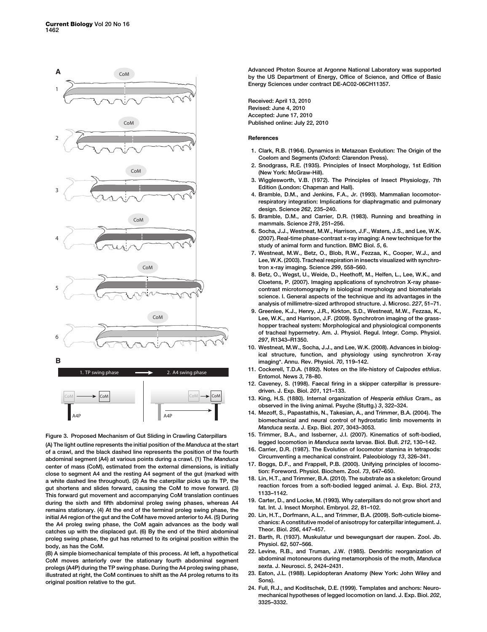

Figure 3. Proposed Mechanism of Gut Sliding in Crawling Caterpillars (A) The light outline represents the initial position of the Manduca at the start of a crawl, and the black dashed line represents the position of the fourth abdominal segment (A4) at various points during a crawl. (1) The Manduca center of mass (CoM), estimated from the external dimensions, is initially close to segment A4 and the resting A4 segment of the gut (marked with a white dashed line throughout). (2) As the caterpillar picks up its TP, the gut shortens and slides forward, causing the CoM to move forward. (3) This forward gut movement and accompanying CoM translation continues during the sixth and fifth abdominal proleg swing phases, whereas A4 remains stationary. (4) At the end of the terminal proleg swing phase, the initial A4 region of the gut and the CoM have moved anterior to A4. (5) During the A4 proleg swing phase, the CoM again advances as the body wall catches up with the displaced gut. (6) By the end of the third abdominal proleg swing phase, the gut has returned to its original position within the body, as has the CoM.

<span id="page-4-0"></span>(B) A simple biomechanical template of this process. At left, a hypothetical CoM moves anteriorly over the stationary fourth abdominal segment prolegs (A4P) during the TP swing phase. During the A4 proleg swing phase, illustrated at right, the CoM continues to shift as the A4 proleg returns to its original position relative to the gut.

Advanced Photon Source at Argonne National Laboratory was supported by the US Department of Energy, Office of Science, and Office of Basic Energy Sciences under contract DE-AC02-06CH11357.

Received: April 13, 2010 Revised: June 4, 2010 Accepted: June 17, 2010 Published online: July 22, 2010

#### References

- 1. Clark, R.B. (1964). Dynamics in Metazoan Evolution: The Origin of the Coelom and Segments (Oxford: Clarendon Press).
- 2. Snodgrass, R.E. (1935). Principles of Insect Morphology, 1st Edition (New York: McGraw-Hill).
- 3. Wigglesworth, V.B. (1972). The Principles of Insect Physiology, 7th Edition (London: Chapman and Hall).
- 4. Bramble, D.M., and Jenkins, F.A., Jr. (1993). Mammalian locomotorrespiratory integration: Implications for diaphragmatic and pulmonary design. Science 262, 235–240.
- 5. Bramble, D.M., and Carrier, D.R. (1983). Running and breathing in mammals. Science 219, 251–256.
- 6. Socha, J.J., Westneat, M.W., Harrison, J.F., Waters, J.S., and Lee, W.K. (2007). Real-time phase-contrast x-ray imaging: A new technique for the study of animal form and function. BMC Biol. 5, 6.
- 7. Westneat, M.W., Betz, O., Blob, R.W., Fezzaa, K., Cooper, W.J., and Lee, W.K. (2003). Tracheal respiration in insects visualized with synchrotron x-ray imaging. Science 299, 558–560.
- 8. Betz, O., Wegst, U., Weide, D., Heethoff, M., Helfen, L., Lee, W.K., and Cloetens, P. (2007). Imaging applications of synchrotron X-ray phasecontrast microtomography in biological morphology and biomaterials science. I. General aspects of the technique and its advantages in the analysis of millimetre-sized arthropod structure. J. Microsc. 227, 51–71.
- 9. Greenlee, K.J., Henry, J.R., Kirkton, S.D., Westneat, M.W., Fezzaa, K., Lee, W.K., and Harrison, J.F. (2009). Synchrotron imaging of the grasshopper tracheal system: Morphological and physiological components of tracheal hypermetry. Am. J. Physiol. Regul. Integr. Comp. Physiol. 297, R1343–R1350.
- 10. Westneat, M.W., Socha, J.J., and Lee, W.K. (2008). Advances in biological structure, function, and physiology using synchrotron X-ray imaging\*. Annu. Rev. Physiol. 70, 119–142.
- 11. Cockerell, T.D.A. (1892). Notes on the life-history of Calpodes ethlius. Entomol. News 3, 78–80.
- 12. Caveney, S. (1998). Faecal firing in a skipper caterpillar is pressuredriven. J. Exp. Biol. 201, 121–133.
- 13. King, H.S. (1880). Internal organization of Hesperia ethlius Cram., as observed in the living animal. Psyche (Stuttg.) 3, 322–324.
- 14. Mezoff, S., Papastathis, N., Takesian, A., and Trimmer, B.A. (2004). The biomechanical and neural control of hydrostatic limb movements in Manduca sexta. J. Exp. Biol. 207, 3043–3053.
- 15. Trimmer, B.A., and Issberner, J.I. (2007). Kinematics of soft-bodied, legged locomotion in Manduca sexta larvae. Biol. Bull. 212, 130–142.
- 16. Carrier, D.R. (1987). The Evolution of locomotor stamina in tetrapods: Circumventing a mechanical constraint. Paleobiology 13, 326–341.
- 17. Boggs, D.F., and Frappell, P.B. (2000). Unifying principles of locomotion: Foreword. Physiol. Biochem. Zool. 73, 647–650.
- 18. Lin, H.T., and Trimmer, B.A. (2010). The substrate as a skeleton: Ground reaction forces from a soft-bodied legged animal. J. Exp. Biol. 213, 1133–1142.
- 19. Carter, D., and Locke, M. (1993). Why caterpillars do not grow short and fat. Int. J. Insect Morphol. Embryol. 22, 81–102.
- 20. Lin, H.T., Dorfmann, A.L., and Trimmer, B.A. (2009). Soft-cuticle biomechanics: A constitutive model of anisotropy for caterpillar integument. J. Theor. Biol. 256, 447–457.
- 21. Barth, R. (1937). Muskulatur und bewegungsart der raupen. Zool. Jb. Physiol. 62, 507–566.
- 22. Levine, R.B., and Truman, J.W. (1985). Dendritic reorganization of abdominal motoneurons during metamorphosis of the moth, Manduca sexta. J. Neurosci. 5, 2424–2431.
- 23. Eaton, J.L. (1988). Lepidopteran Anatomy (New York: John Wiley and Sons).
- 24. Full, R.J., and Koditschek, D.E. (1999). Templates and anchors: Neuromechanical hypotheses of legged locomotion on land. J. Exp. Biol. 202, 3325–3332.